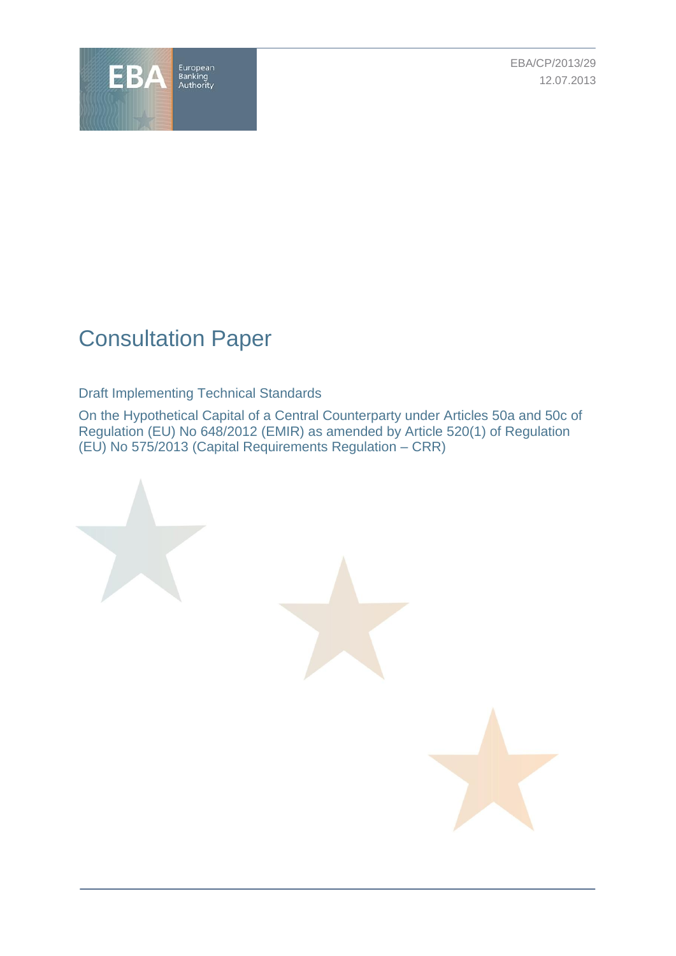

EBA/CP/2013/29 12.07.2013

# Consultation Paper

Draft Implementing Technical Standards

On the Hypothetical Capital of a Central Counterparty under Articles 50a and 50c of Regulation (EU) No 648/2012 (EMIR) as amended by Article 520(1) of Regulation (EU) No 575/2013 (Capital Requirements Regulation – CRR)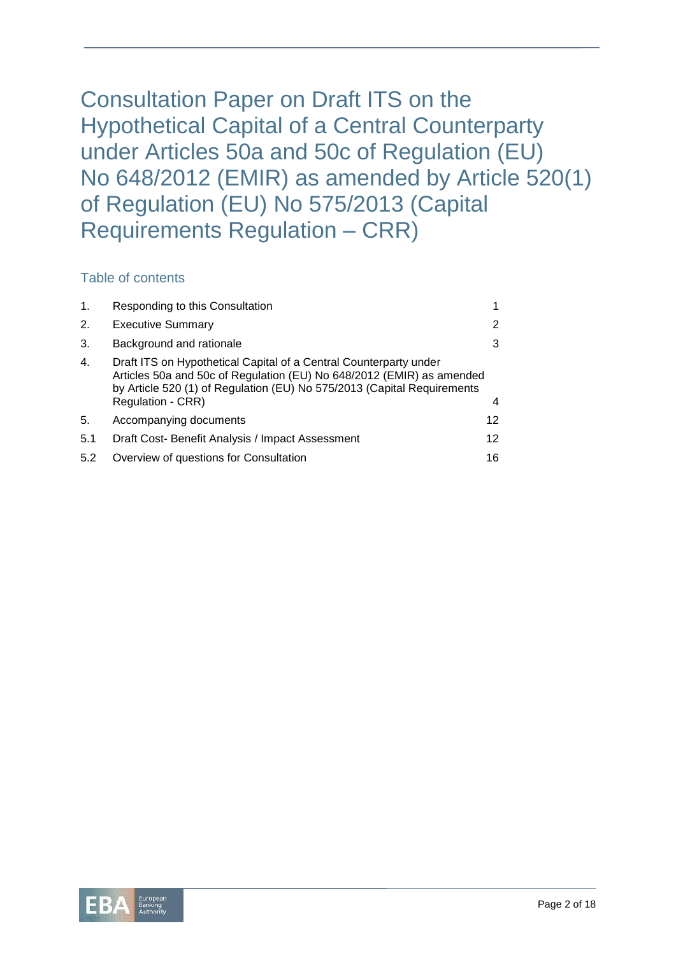Consultation Paper on Draft ITS on the Hypothetical Capital of a Central Counterparty under Articles 50a and 50c of Regulation (EU) No 648/2012 (EMIR) as amended by Article 520(1) of Regulation (EU) No 575/2013 (Capital Requirements Regulation – CRR)

## Table of contents

| $\mathbf{1}$ . | Responding to this Consultation                                                                                                                                                                                                            |                   |
|----------------|--------------------------------------------------------------------------------------------------------------------------------------------------------------------------------------------------------------------------------------------|-------------------|
| 2.             | <b>Executive Summary</b>                                                                                                                                                                                                                   | 2                 |
| 3.             | Background and rationale                                                                                                                                                                                                                   | 3                 |
| 4.             | Draft ITS on Hypothetical Capital of a Central Counterparty under<br>Articles 50a and 50c of Regulation (EU) No 648/2012 (EMIR) as amended<br>by Article 520 (1) of Regulation (EU) No 575/2013 (Capital Requirements<br>Regulation - CRR) | 4                 |
| 5.             | Accompanying documents                                                                                                                                                                                                                     | 12                |
| 5.1            | Draft Cost- Benefit Analysis / Impact Assessment                                                                                                                                                                                           | $12 \overline{ }$ |
| 5.2            | Overview of questions for Consultation                                                                                                                                                                                                     | 16                |

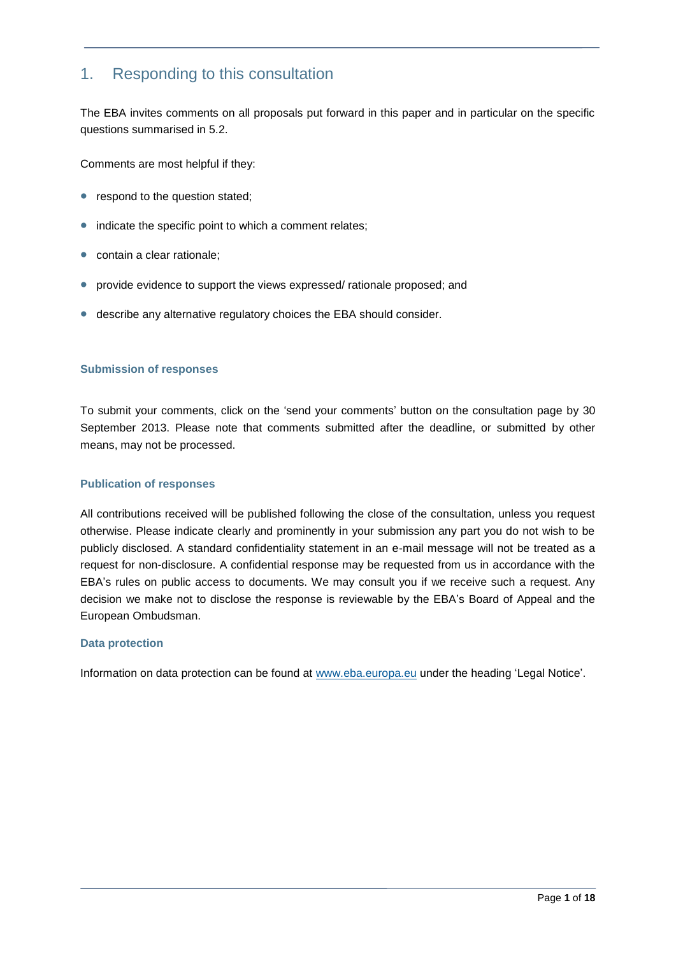# 1. Responding to this consultation

The EBA invites comments on all proposals put forward in this paper and in particular on the specific questions summarised in 5.2.

Comments are most helpful if they:

- respond to the question stated;
- indicate the specific point to which a comment relates;
- contain a clear rationale:
- provide evidence to support the views expressed/ rationale proposed; and
- describe any alternative regulatory choices the EBA should consider.

#### **Submission of responses**

To submit your comments, click on the 'send your comments' button on the consultation page by 30 September 2013. Please note that comments submitted after the deadline, or submitted by other means, may not be processed.

#### **Publication of responses**

All contributions received will be published following the close of the consultation, unless you request otherwise. Please indicate clearly and prominently in your submission any part you do not wish to be publicly disclosed. A standard confidentiality statement in an e-mail message will not be treated as a request for non-disclosure. A confidential response may be requested from us in accordance with the EBA's rules on public access to documents. We may consult you if we receive such a request. Any decision we make not to disclose the response is reviewable by the EBA's Board of Appeal and the European Ombudsman.

#### **Data protection**

Information on data protection can be found at [www.eba.europa.eu](http://www.eba.europa.eu/) under the heading 'Legal Notice'.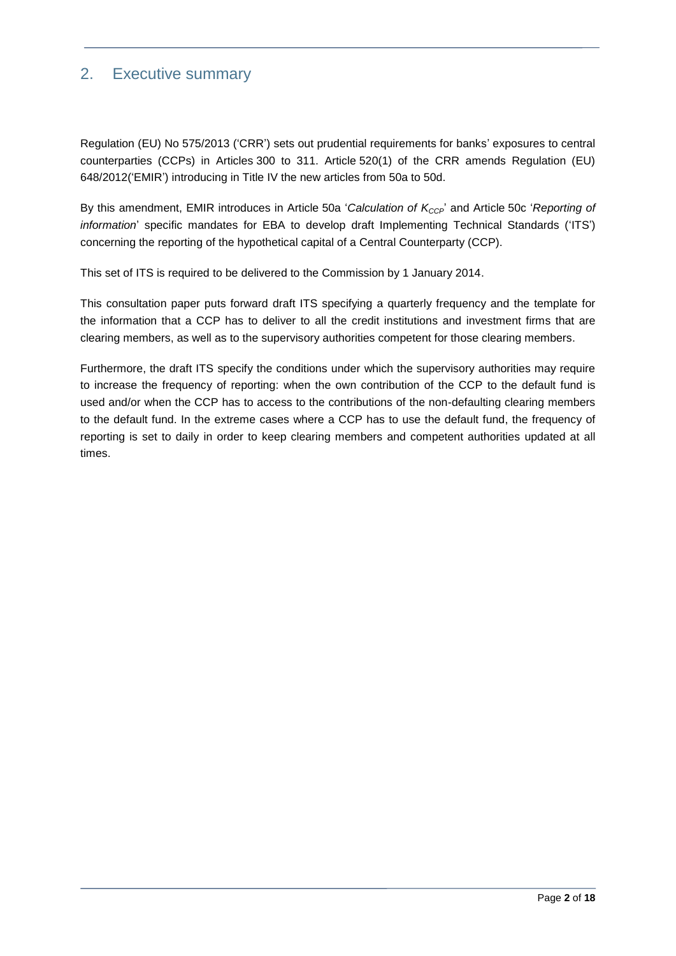# 2. Executive summary

Regulation (EU) No 575/2013 ('CRR') sets out prudential requirements for banks' exposures to central counterparties (CCPs) in Articles 300 to 311. Article 520(1) of the CRR amends Regulation (EU) 648/2012('EMIR') introducing in Title IV the new articles from 50a to 50d.

By this amendment, EMIR introduces in Article 50a '*Calculation of KCCP*' and Article 50c '*Reporting of information*' specific mandates for EBA to develop draft Implementing Technical Standards ('ITS') concerning the reporting of the hypothetical capital of a Central Counterparty (CCP).

This set of ITS is required to be delivered to the Commission by 1 January 2014.

This consultation paper puts forward draft ITS specifying a quarterly frequency and the template for the information that a CCP has to deliver to all the credit institutions and investment firms that are clearing members, as well as to the supervisory authorities competent for those clearing members.

Furthermore, the draft ITS specify the conditions under which the supervisory authorities may require to increase the frequency of reporting: when the own contribution of the CCP to the default fund is used and/or when the CCP has to access to the contributions of the non-defaulting clearing members to the default fund. In the extreme cases where a CCP has to use the default fund, the frequency of reporting is set to daily in order to keep clearing members and competent authorities updated at all times.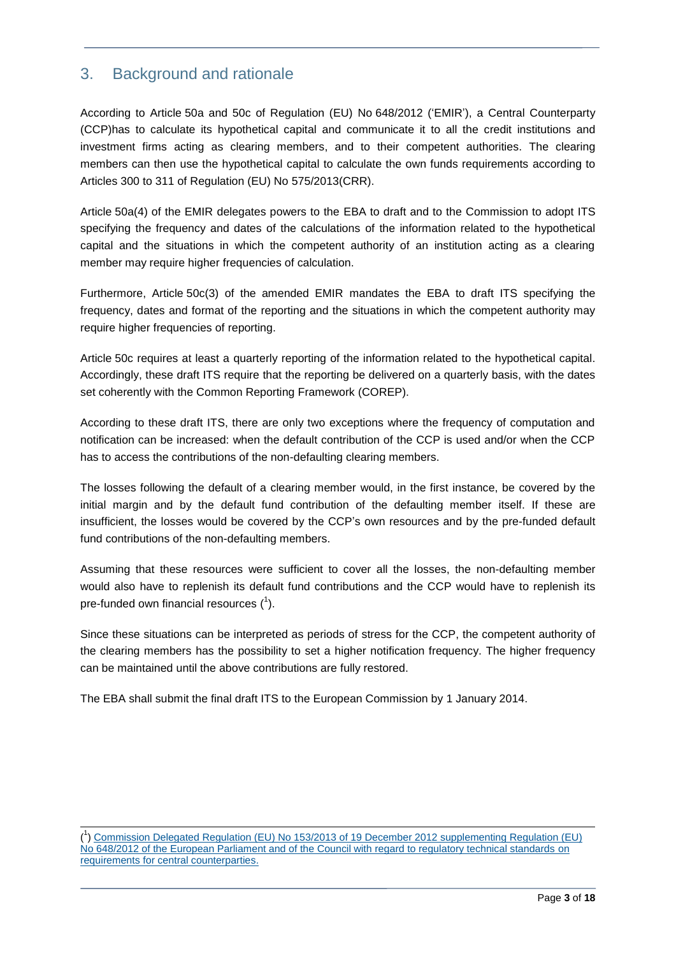# 3. Background and rationale

According to Article 50a and 50c of Regulation (EU) No 648/2012 ('EMIR'), a Central Counterparty (CCP)has to calculate its hypothetical capital and communicate it to all the credit institutions and investment firms acting as clearing members, and to their competent authorities. The clearing members can then use the hypothetical capital to calculate the own funds requirements according to Articles 300 to 311 of Regulation (EU) No 575/2013(CRR).

Article 50a(4) of the EMIR delegates powers to the EBA to draft and to the Commission to adopt ITS specifying the frequency and dates of the calculations of the information related to the hypothetical capital and the situations in which the competent authority of an institution acting as a clearing member may require higher frequencies of calculation.

Furthermore, Article 50c(3) of the amended EMIR mandates the EBA to draft ITS specifying the frequency, dates and format of the reporting and the situations in which the competent authority may require higher frequencies of reporting.

Article 50c requires at least a quarterly reporting of the information related to the hypothetical capital. Accordingly, these draft ITS require that the reporting be delivered on a quarterly basis, with the dates set coherently with the Common Reporting Framework (COREP).

According to these draft ITS, there are only two exceptions where the frequency of computation and notification can be increased: when the default contribution of the CCP is used and/or when the CCP has to access the contributions of the non-defaulting clearing members.

The losses following the default of a clearing member would, in the first instance, be covered by the initial margin and by the default fund contribution of the defaulting member itself. If these are insufficient, the losses would be covered by the CCP's own resources and by the pre-funded default fund contributions of the non-defaulting members.

Assuming that these resources were sufficient to cover all the losses, the non-defaulting member would also have to replenish its default fund contributions and the CCP would have to replenish its pre-funded own financial resources  $(^1)$ .

Since these situations can be interpreted as periods of stress for the CCP, the competent authority of the clearing members has the possibility to set a higher notification frequency. The higher frequency can be maintained until the above contributions are fully restored.

The EBA shall submit the final draft ITS to the European Commission by 1 January 2014.

l ( 1 [\) Commission Delegated Regulation \(EU\) No 153/2013 of 19 December 2012 supplementing Regulation \(EU\)](http://eur-lex.europa.eu/JOHtml.do?uri=OJ:L:2013:052:SOM:EN:HTML)  [No 648/2012 of the European Parliament and of the Council with regard to regulatory technical standards on](http://eur-lex.europa.eu/JOHtml.do?uri=OJ:L:2013:052:SOM:EN:HTML) requirements [for central counterparties.](http://eur-lex.europa.eu/JOHtml.do?uri=OJ:L:2013:052:SOM:EN:HTML)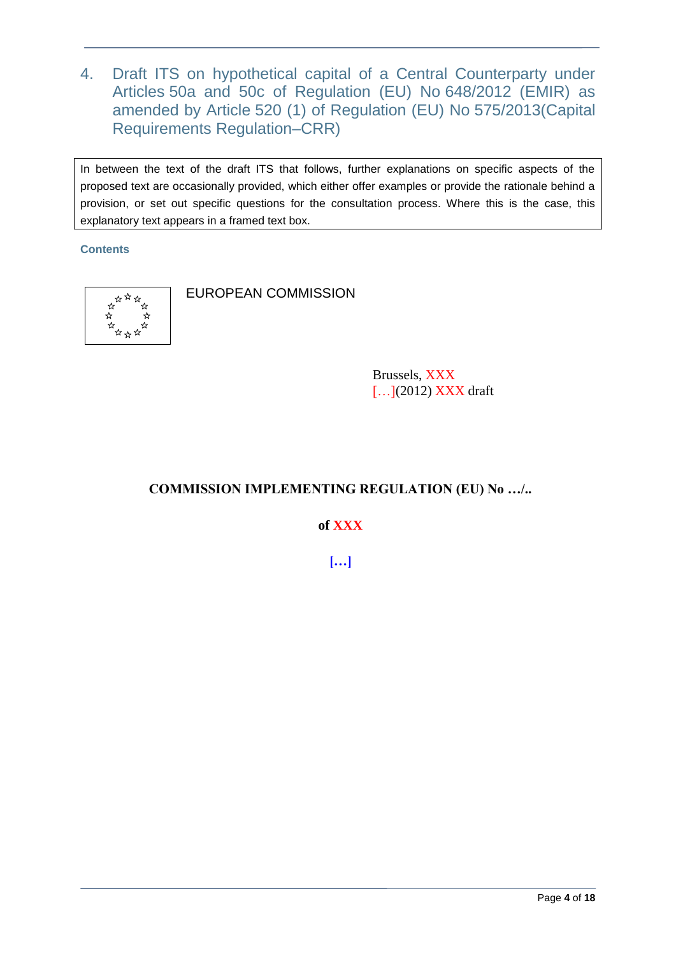4. Draft ITS on hypothetical capital of a Central Counterparty under Articles 50a and 50c of Regulation (EU) No 648/2012 (EMIR) as amended by Article 520 (1) of Regulation (EU) No 575/2013(Capital Requirements Regulation–CRR)

In between the text of the draft ITS that follows, further explanations on specific aspects of the proposed text are occasionally provided, which either offer examples or provide the rationale behind a provision, or set out specific questions for the consultation process. Where this is the case, this explanatory text appears in a framed text box.

#### **Contents**



EUROPEAN COMMISSION

Brussels, XXX [...](2012) **XXX** draft

# **COMMISSION IMPLEMENTING REGULATION (EU) No …/..**

**of XXX**

**[…]**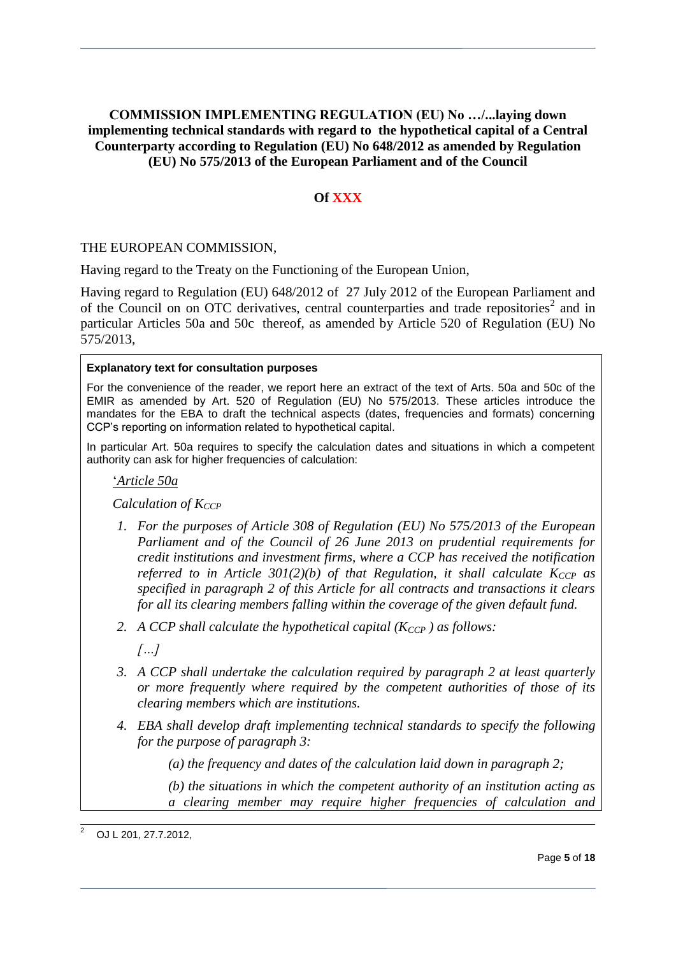## **COMMISSION IMPLEMENTING REGULATION (EU) No …/...laying down implementing technical standards with regard to the hypothetical capital of a Central Counterparty according to Regulation (EU) No 648/2012 as amended by Regulation (EU) No 575/2013 of the European Parliament and of the Council**

# **Of XXX**

#### THE EUROPEAN COMMISSION,

Having regard to the Treaty on the Functioning of the European Union,

Having regard to Regulation (EU) 648/2012 of 27 July 2012 of the European Parliament and of the Council on on OTC derivatives, central counterparties and trade repositories<sup>2</sup> and in particular Articles 50a and 50c thereof, as amended by Article 520 of Regulation (EU) No 575/2013,

#### **Explanatory text for consultation purposes**

For the convenience of the reader, we report here an extract of the text of Arts. 50a and 50c of the EMIR as amended by Art. 520 of Regulation (EU) No 575/2013. These articles introduce the mandates for the EBA to draft the technical aspects (dates, frequencies and formats) concerning CCP's reporting on information related to hypothetical capital.

In particular Art. 50a requires to specify the calculation dates and situations in which a competent authority can ask for higher frequencies of calculation:

'*Article 50a*

*Calculation of K<sub>CCP</sub>* 

- *1. For the purposes of Article 308 of Regulation (EU) No 575/2013 of the European Parliament and of the Council of 26 June 2013 on prudential requirements for credit institutions and investment firms, where a CCP has received the notification referred to in Article 301(2)(b) of that Regulation, it shall calculate*  $K_{CCP}$  *as specified in paragraph 2 of this Article for all contracts and transactions it clears for all its clearing members falling within the coverage of the given default fund.*
- *2. A CCP shall calculate the hypothetical capital (K<sub><i>CCP*</sub>) *as follows:*

*[…]*

- *3. A CCP shall undertake the calculation required by paragraph 2 at least quarterly or more frequently where required by the competent authorities of those of its clearing members which are institutions.*
- *4. EBA shall develop draft implementing technical standards to specify the following for the purpose of paragraph 3:*

*(a) the frequency and dates of the calculation laid down in paragraph 2;*

*(b) the situations in which the competent authority of an institution acting as a clearing member may require higher frequencies of calculation and* 

l <sup>2</sup> OJ L 201, 27.7.2012,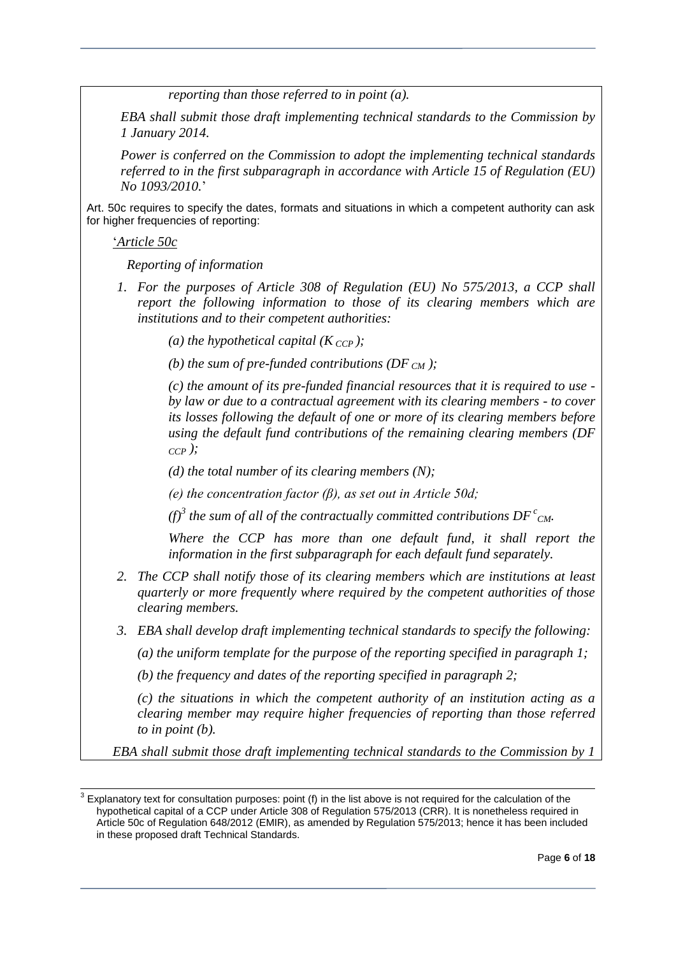*reporting than those referred to in point (a).*

*EBA shall submit those draft implementing technical standards to the Commission by 1 January 2014.*

*Power is conferred on the Commission to adopt the implementing technical standards referred to in the first subparagraph in accordance with Article 15 of Regulation (EU) No 1093/2010.*'

Art. 50c requires to specify the dates, formats and situations in which a competent authority can ask for higher frequencies of reporting:

'*Article 50c*

*Reporting of information*

*1. For the purposes of Article 308 of Regulation (EU) No 575/2013, a CCP shall report the following information to those of its clearing members which are institutions and to their competent authorities:*

*(a) the hypothetical capital*  $(K_{CCP})$ *;* 

*(b) the sum of pre-funded contributions (DF CM );*

*(c) the amount of its pre-funded financial resources that it is required to use by law or due to a contractual agreement with its clearing members - to cover its losses following the default of one or more of its clearing members before using the default fund contributions of the remaining clearing members (DF CCP );*

*(d) the total number of its clearing members (N);*

*(e) the concentration factor (β), as set out in Article 50d;*

*(f)*<sup>3</sup> the sum of all of the contractually committed contributions  $DF^{c}$ <sub>CM</sub>.

*Where the CCP has more than one default fund, it shall report the information in the first subparagraph for each default fund separately.*

- *2. The CCP shall notify those of its clearing members which are institutions at least quarterly or more frequently where required by the competent authorities of those clearing members.*
- *3. EBA shall develop draft implementing technical standards to specify the following:*

*(a) the uniform template for the purpose of the reporting specified in paragraph 1;*

*(b) the frequency and dates of the reporting specified in paragraph 2;*

*(c) the situations in which the competent authority of an institution acting as a clearing member may require higher frequencies of reporting than those referred to in point (b).*

*EBA shall submit those draft implementing technical standards to the Commission by 1* 

 $3$  Explanatory text for consultation purposes: point (f) in the list above is not required for the calculation of the hypothetical capital of a CCP under Article 308 of Regulation 575/2013 (CRR). It is nonetheless required in Article 50c of Regulation 648/2012 (EMIR), as amended by Regulation 575/2013; hence it has been included in these proposed draft Technical Standards.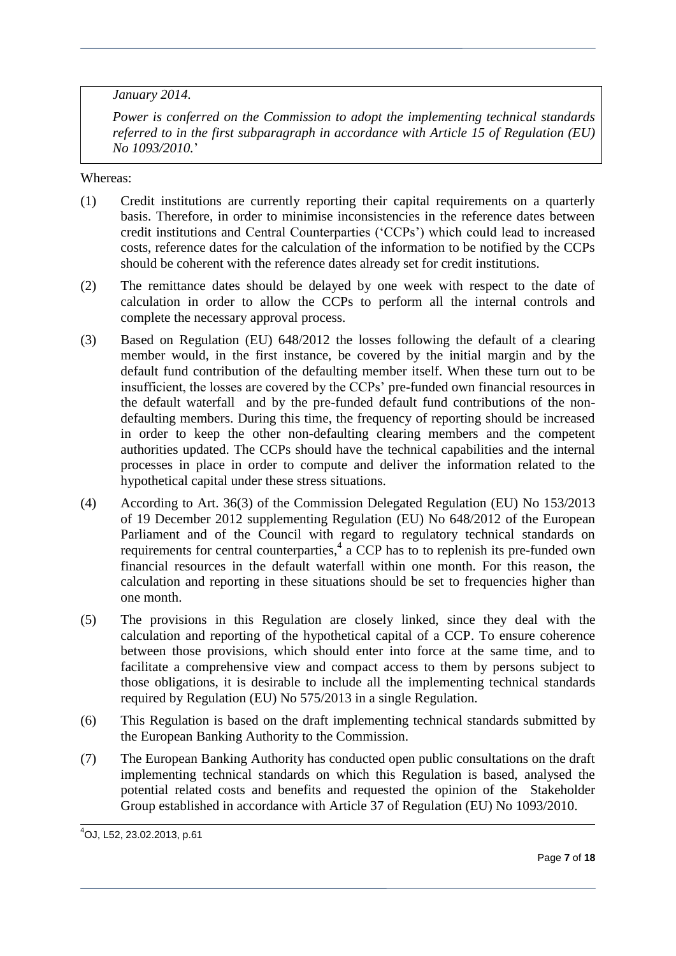*January 2014.*

*Power is conferred on the Commission to adopt the implementing technical standards referred to in the first subparagraph in accordance with Article 15 of Regulation (EU) No 1093/2010.*'

Whereas:

- (1) Credit institutions are currently reporting their capital requirements on a quarterly basis. Therefore, in order to minimise inconsistencies in the reference dates between credit institutions and Central Counterparties ('CCPs') which could lead to increased costs, reference dates for the calculation of the information to be notified by the CCPs should be coherent with the reference dates already set for credit institutions.
- (2) The remittance dates should be delayed by one week with respect to the date of calculation in order to allow the CCPs to perform all the internal controls and complete the necessary approval process.
- (3) Based on Regulation (EU) 648/2012 the losses following the default of a clearing member would, in the first instance, be covered by the initial margin and by the default fund contribution of the defaulting member itself. When these turn out to be insufficient, the losses are covered by the CCPs' pre-funded own financial resources in the default waterfall and by the pre-funded default fund contributions of the nondefaulting members. During this time, the frequency of reporting should be increased in order to keep the other non-defaulting clearing members and the competent authorities updated. The CCPs should have the technical capabilities and the internal processes in place in order to compute and deliver the information related to the hypothetical capital under these stress situations.
- (4) According to Art. 36(3) of the Commission Delegated Regulation (EU) No 153/2013 of 19 December 2012 supplementing Regulation (EU) No 648/2012 of the European Parliament and of the Council with regard to regulatory technical standards on requirements for central counterparties,<sup>4</sup> a CCP has to to replenish its pre-funded own financial resources in the default waterfall within one month. For this reason, the calculation and reporting in these situations should be set to frequencies higher than one month.
- (5) The provisions in this Regulation are closely linked, since they deal with the calculation and reporting of the hypothetical capital of a CCP. To ensure coherence between those provisions, which should enter into force at the same time, and to facilitate a comprehensive view and compact access to them by persons subject to those obligations, it is desirable to include all the implementing technical standards required by Regulation (EU) No 575/2013 in a single Regulation.
- (6) This Regulation is based on the draft implementing technical standards submitted by the European Banking Authority to the Commission.
- (7) The European Banking Authority has conducted open public consultations on the draft implementing technical standards on which this Regulation is based, analysed the potential related costs and benefits and requested the opinion of the Stakeholder Group established in accordance with Article 37 of Regulation (EU) No 1093/2010.

j

<sup>4</sup>OJ, L52, 23.02.2013, p.61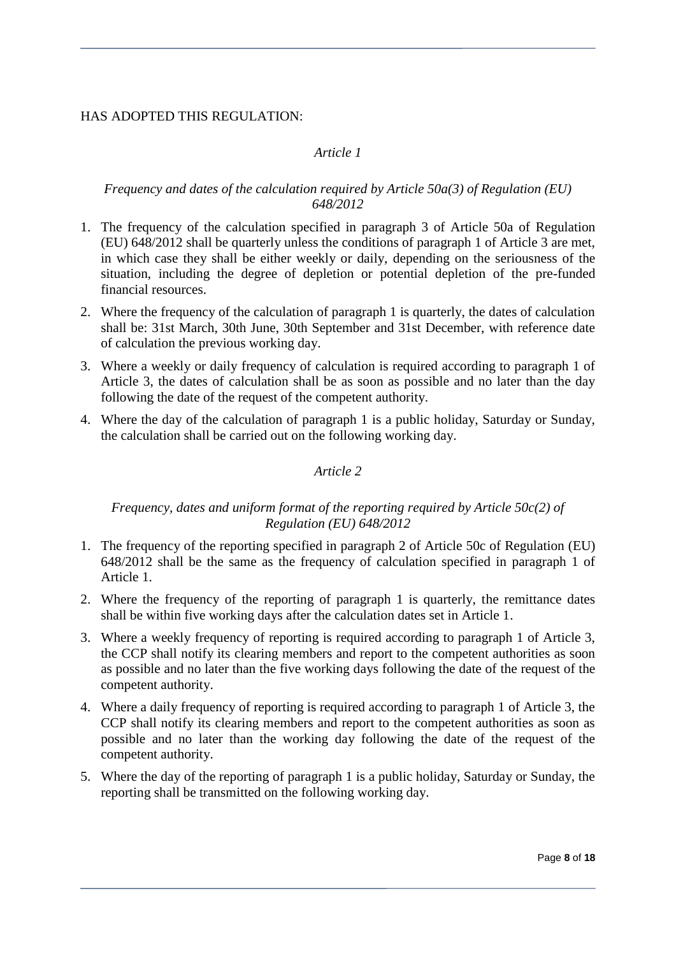## HAS ADOPTED THIS REGULATION:

# *Article 1*

#### *Frequency and dates of the calculation required by Article 50a(3) of Regulation (EU) 648/2012*

- 1. The frequency of the calculation specified in paragraph 3 of Article 50a of Regulation (EU) 648/2012 shall be quarterly unless the conditions of paragraph 1 of Article 3 are met, in which case they shall be either weekly or daily, depending on the seriousness of the situation, including the degree of depletion or potential depletion of the pre-funded financial resources.
- 2. Where the frequency of the calculation of paragraph 1 is quarterly, the dates of calculation shall be: 31st March, 30th June, 30th September and 31st December, with reference date of calculation the previous working day.
- 3. Where a weekly or daily frequency of calculation is required according to paragraph 1 of Article 3, the dates of calculation shall be as soon as possible and no later than the day following the date of the request of the competent authority.
- 4. Where the day of the calculation of paragraph 1 is a public holiday, Saturday or Sunday, the calculation shall be carried out on the following working day.

## *Article 2*

## *Frequency, dates and uniform format of the reporting required by Article 50c(2) of Regulation (EU) 648/2012*

- 1. The frequency of the reporting specified in paragraph 2 of Article 50c of Regulation (EU) 648/2012 shall be the same as the frequency of calculation specified in paragraph 1 of Article 1.
- 2. Where the frequency of the reporting of paragraph 1 is quarterly, the remittance dates shall be within five working days after the calculation dates set in Article 1.
- 3. Where a weekly frequency of reporting is required according to paragraph 1 of Article 3, the CCP shall notify its clearing members and report to the competent authorities as soon as possible and no later than the five working days following the date of the request of the competent authority.
- 4. Where a daily frequency of reporting is required according to paragraph 1 of Article 3, the CCP shall notify its clearing members and report to the competent authorities as soon as possible and no later than the working day following the date of the request of the competent authority.
- 5. Where the day of the reporting of paragraph 1 is a public holiday, Saturday or Sunday, the reporting shall be transmitted on the following working day.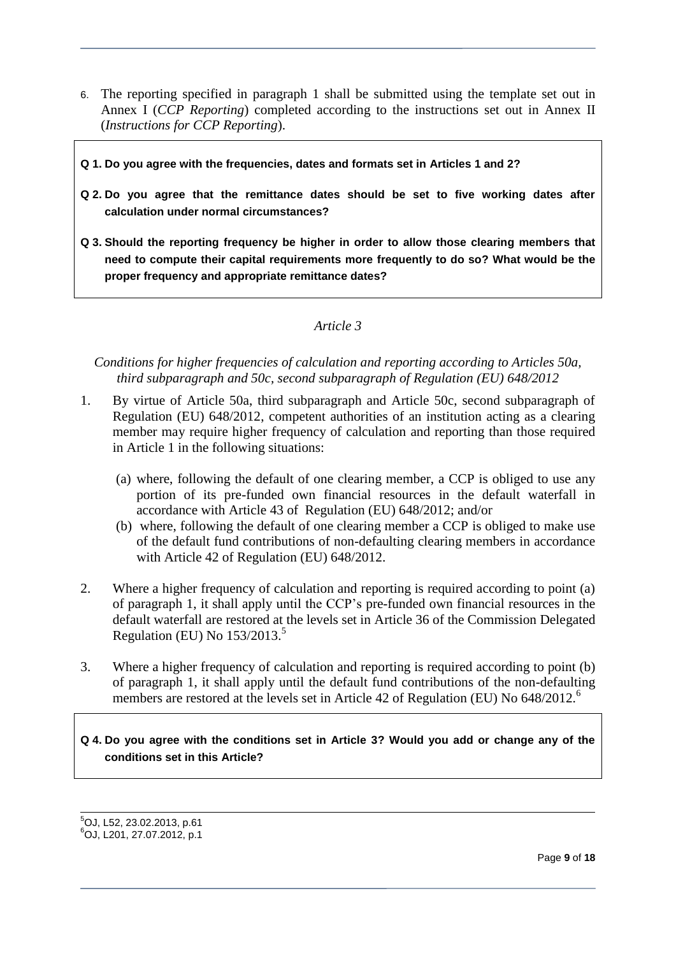- 6. The reporting specified in paragraph 1 shall be submitted using the template set out in Annex I (*CCP Reporting*) completed according to the instructions set out in Annex II (*Instructions for CCP Reporting*).
- **Q 1. Do you agree with the frequencies, dates and formats set in Articles 1 and 2?**
- **Q 2. Do you agree that the remittance dates should be set to five working dates after calculation under normal circumstances?**
- **Q 3. Should the reporting frequency be higher in order to allow those clearing members that need to compute their capital requirements more frequently to do so? What would be the proper frequency and appropriate remittance dates?**

## *Article 3*

*Conditions for higher frequencies of calculation and reporting according to Articles 50a, third subparagraph and 50c, second subparagraph of Regulation (EU) 648/2012*

- 1. By virtue of Article 50a, third subparagraph and Article 50c, second subparagraph of Regulation (EU) 648/2012, competent authorities of an institution acting as a clearing member may require higher frequency of calculation and reporting than those required in Article 1 in the following situations:
	- (a) where, following the default of one clearing member, a CCP is obliged to use any portion of its pre-funded own financial resources in the default waterfall in accordance with Article 43 of Regulation (EU) 648/2012; and/or
	- (b) where, following the default of one clearing member a CCP is obliged to make use of the default fund contributions of non-defaulting clearing members in accordance with Article 42 of Regulation (EU) 648/2012.
- 2. Where a higher frequency of calculation and reporting is required according to point (a) of paragraph 1, it shall apply until the CCP's pre-funded own financial resources in the default waterfall are restored at the levels set in Article 36 of the Commission Delegated Regulation (EU) No  $153/2013$ <sup>5</sup>
- 3. Where a higher frequency of calculation and reporting is required according to point (b) of paragraph 1, it shall apply until the default fund contributions of the non-defaulting members are restored at the levels set in Article 42 of Regulation (EU) No 648/2012.<sup>6</sup>

**Q 4. Do you agree with the conditions set in Article 3? Would you add or change any of the conditions set in this Article?**

l  $5$ OJ, L52, 23.02.2013, p.61 <sup>6</sup>OJ, L201, 27.07.2012, p.1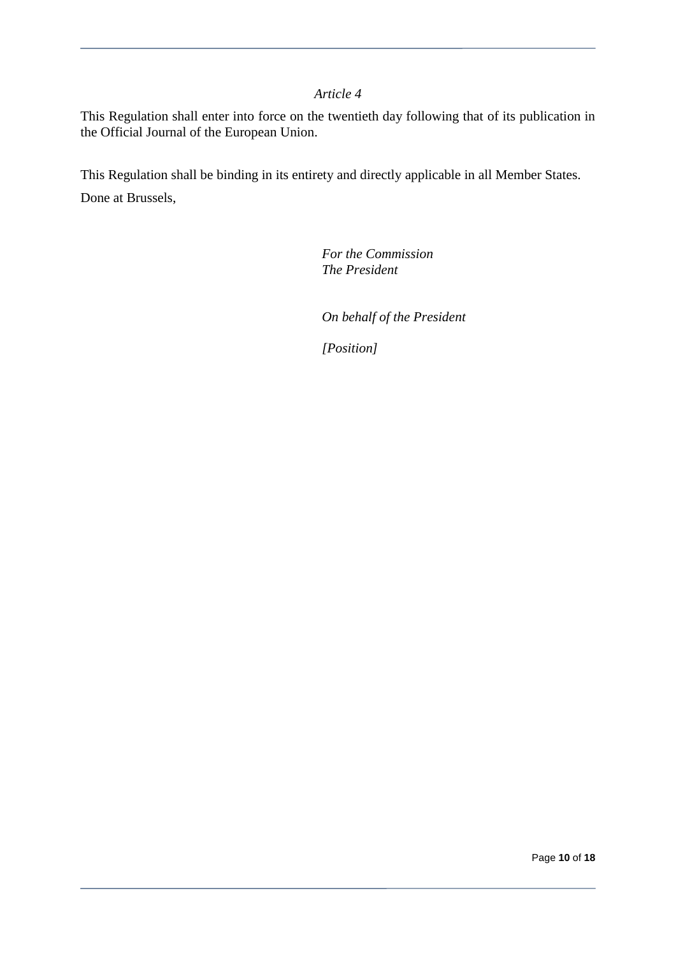#### *Article 4*

This Regulation shall enter into force on the twentieth day following that of its publication in the Official Journal of the European Union.

This Regulation shall be binding in its entirety and directly applicable in all Member States. Done at Brussels,

> *For the Commission The President*

*On behalf of the President*

*[Position]*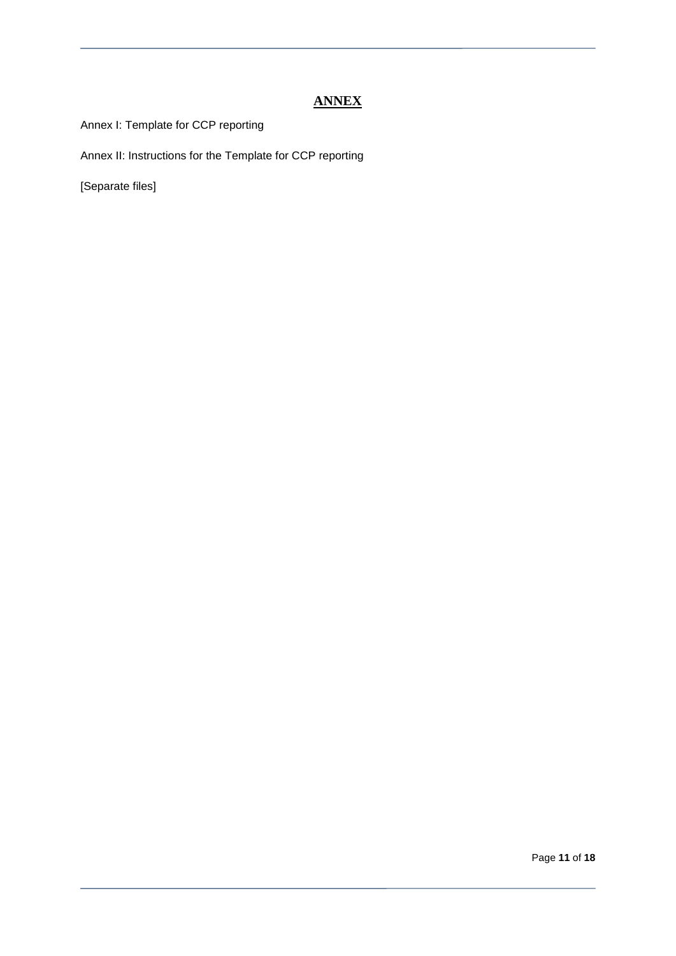# **ANNEX**

Annex I: Template for CCP reporting

Annex II: Instructions for the Template for CCP reporting

[Separate files]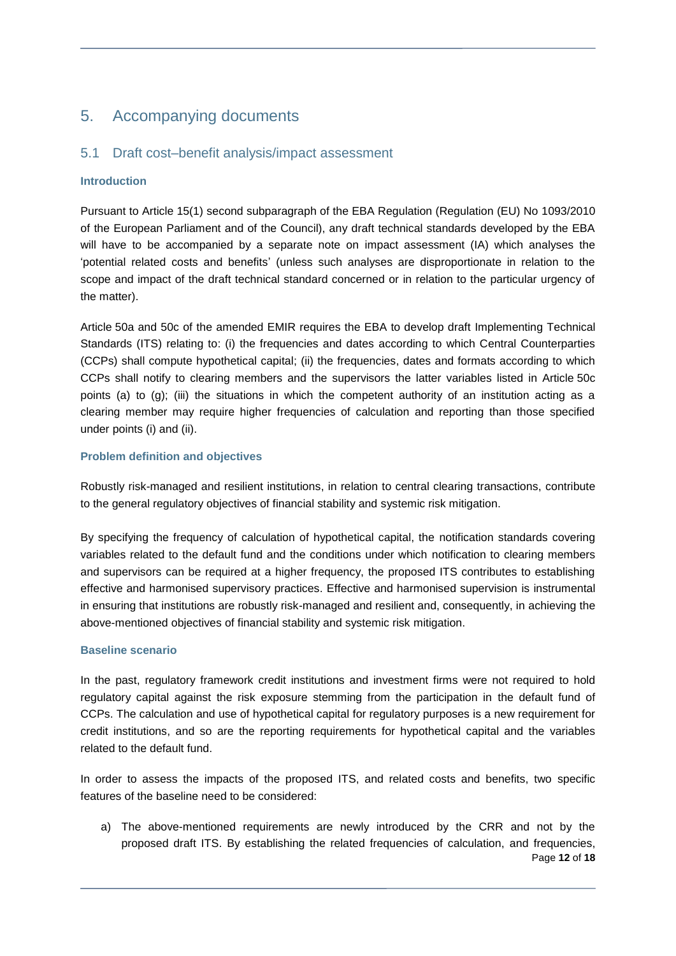# 5. Accompanying documents

## 5.1 Draft cost–benefit analysis/impact assessment

#### **Introduction**

Pursuant to Article 15(1) second subparagraph of the EBA Regulation (Regulation (EU) No 1093/2010 of the European Parliament and of the Council), any draft technical standards developed by the EBA will have to be accompanied by a separate note on impact assessment (IA) which analyses the 'potential related costs and benefits' (unless such analyses are disproportionate in relation to the scope and impact of the draft technical standard concerned or in relation to the particular urgency of the matter).

Article 50a and 50c of the amended EMIR requires the EBA to develop draft Implementing Technical Standards (ITS) relating to: (i) the frequencies and dates according to which Central Counterparties (CCPs) shall compute hypothetical capital; (ii) the frequencies, dates and formats according to which CCPs shall notify to clearing members and the supervisors the latter variables listed in Article 50c points (a) to (g); (iii) the situations in which the competent authority of an institution acting as a clearing member may require higher frequencies of calculation and reporting than those specified under points (i) and (ii).

#### **Problem definition and objectives**

Robustly risk-managed and resilient institutions, in relation to central clearing transactions, contribute to the general regulatory objectives of financial stability and systemic risk mitigation.

By specifying the frequency of calculation of hypothetical capital, the notification standards covering variables related to the default fund and the conditions under which notification to clearing members and supervisors can be required at a higher frequency, the proposed ITS contributes to establishing effective and harmonised supervisory practices. Effective and harmonised supervision is instrumental in ensuring that institutions are robustly risk-managed and resilient and, consequently, in achieving the above-mentioned objectives of financial stability and systemic risk mitigation.

#### **Baseline scenario**

In the past, regulatory framework credit institutions and investment firms were not required to hold regulatory capital against the risk exposure stemming from the participation in the default fund of CCPs. The calculation and use of hypothetical capital for regulatory purposes is a new requirement for credit institutions, and so are the reporting requirements for hypothetical capital and the variables related to the default fund.

In order to assess the impacts of the proposed ITS, and related costs and benefits, two specific features of the baseline need to be considered:

Page **12** of **18** a) The above-mentioned requirements are newly introduced by the CRR and not by the proposed draft ITS. By establishing the related frequencies of calculation, and frequencies,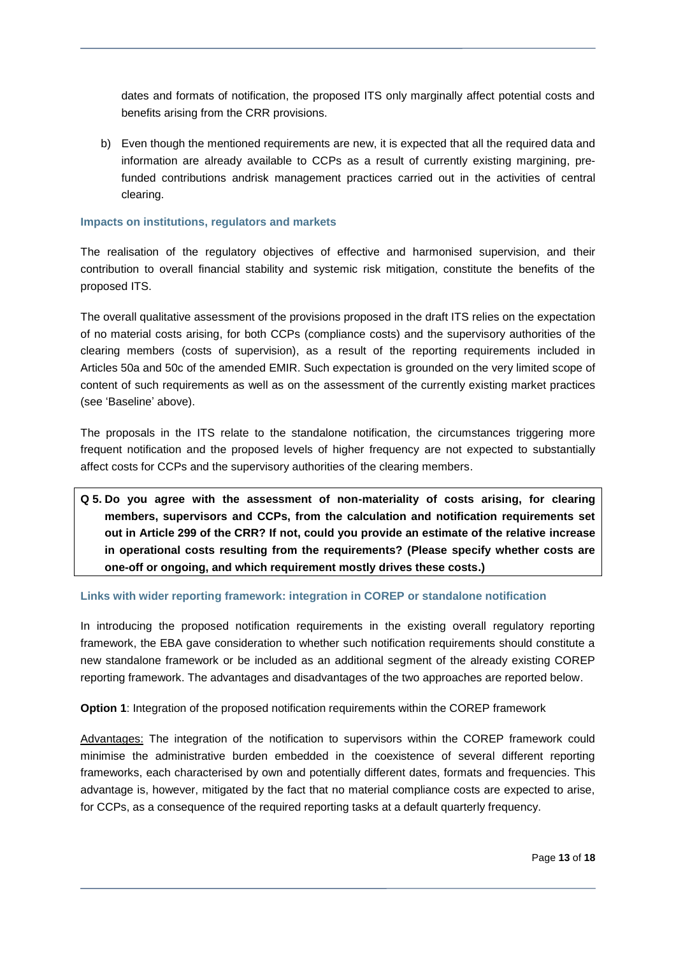dates and formats of notification, the proposed ITS only marginally affect potential costs and benefits arising from the CRR provisions.

b) Even though the mentioned requirements are new, it is expected that all the required data and information are already available to CCPs as a result of currently existing margining, prefunded contributions andrisk management practices carried out in the activities of central clearing.

#### **Impacts on institutions, regulators and markets**

The realisation of the regulatory objectives of effective and harmonised supervision, and their contribution to overall financial stability and systemic risk mitigation, constitute the benefits of the proposed ITS.

The overall qualitative assessment of the provisions proposed in the draft ITS relies on the expectation of no material costs arising, for both CCPs (compliance costs) and the supervisory authorities of the clearing members (costs of supervision), as a result of the reporting requirements included in Articles 50a and 50c of the amended EMIR. Such expectation is grounded on the very limited scope of content of such requirements as well as on the assessment of the currently existing market practices (see 'Baseline' above).

The proposals in the ITS relate to the standalone notification, the circumstances triggering more frequent notification and the proposed levels of higher frequency are not expected to substantially affect costs for CCPs and the supervisory authorities of the clearing members.

**Q 5. Do you agree with the assessment of non-materiality of costs arising, for clearing members, supervisors and CCPs, from the calculation and notification requirements set out in Article 299 of the CRR? If not, could you provide an estimate of the relative increase in operational costs resulting from the requirements? (Please specify whether costs are one-off or ongoing, and which requirement mostly drives these costs.)**

#### **Links with wider reporting framework: integration in COREP or standalone notification**

In introducing the proposed notification requirements in the existing overall regulatory reporting framework, the EBA gave consideration to whether such notification requirements should constitute a new standalone framework or be included as an additional segment of the already existing COREP reporting framework. The advantages and disadvantages of the two approaches are reported below.

**Option 1:** Integration of the proposed notification requirements within the COREP framework

Advantages: The integration of the notification to supervisors within the COREP framework could minimise the administrative burden embedded in the coexistence of several different reporting frameworks, each characterised by own and potentially different dates, formats and frequencies. This advantage is, however, mitigated by the fact that no material compliance costs are expected to arise, for CCPs, as a consequence of the required reporting tasks at a default quarterly frequency.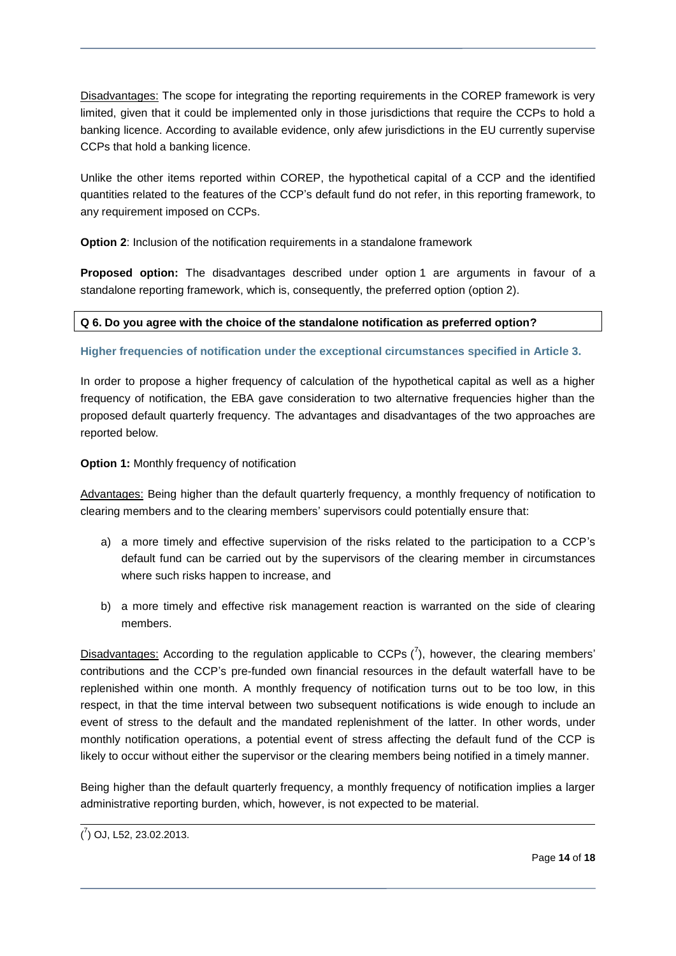Disadvantages: The scope for integrating the reporting requirements in the COREP framework is very limited, given that it could be implemented only in those jurisdictions that require the CCPs to hold a banking licence. According to available evidence, only afew jurisdictions in the EU currently supervise CCPs that hold a banking licence.

Unlike the other items reported within COREP, the hypothetical capital of a CCP and the identified quantities related to the features of the CCP's default fund do not refer, in this reporting framework, to any requirement imposed on CCPs.

**Option 2:** Inclusion of the notification requirements in a standalone framework

**Proposed option:** The disadvantages described under option 1 are arguments in favour of a standalone reporting framework, which is, consequently, the preferred option (option 2).

#### **Q 6. Do you agree with the choice of the standalone notification as preferred option?**

**Higher frequencies of notification under the exceptional circumstances specified in Article 3.**

In order to propose a higher frequency of calculation of the hypothetical capital as well as a higher frequency of notification, the EBA gave consideration to two alternative frequencies higher than the proposed default quarterly frequency. The advantages and disadvantages of the two approaches are reported below.

**Option 1:** Monthly frequency of notification

Advantages: Being higher than the default quarterly frequency, a monthly frequency of notification to clearing members and to the clearing members' supervisors could potentially ensure that:

- a) a more timely and effective supervision of the risks related to the participation to a CCP's default fund can be carried out by the supervisors of the clearing member in circumstances where such risks happen to increase, and
- b) a more timely and effective risk management reaction is warranted on the side of clearing members.

Disadvantages: According to the regulation applicable to CCPs  $(7)$ , however, the clearing members' contributions and the CCP's pre-funded own financial resources in the default waterfall have to be replenished within one month. A monthly frequency of notification turns out to be too low, in this respect, in that the time interval between two subsequent notifications is wide enough to include an event of stress to the default and the mandated replenishment of the latter. In other words, under monthly notification operations, a potential event of stress affecting the default fund of the CCP is likely to occur without either the supervisor or the clearing members being notified in a timely manner.

Being higher than the default quarterly frequency, a monthly frequency of notification implies a larger administrative reporting burden, which, however, is not expected to be material.

 $\overline{a}$ 

 $(7)$  OJ, L52, 23.02.2013.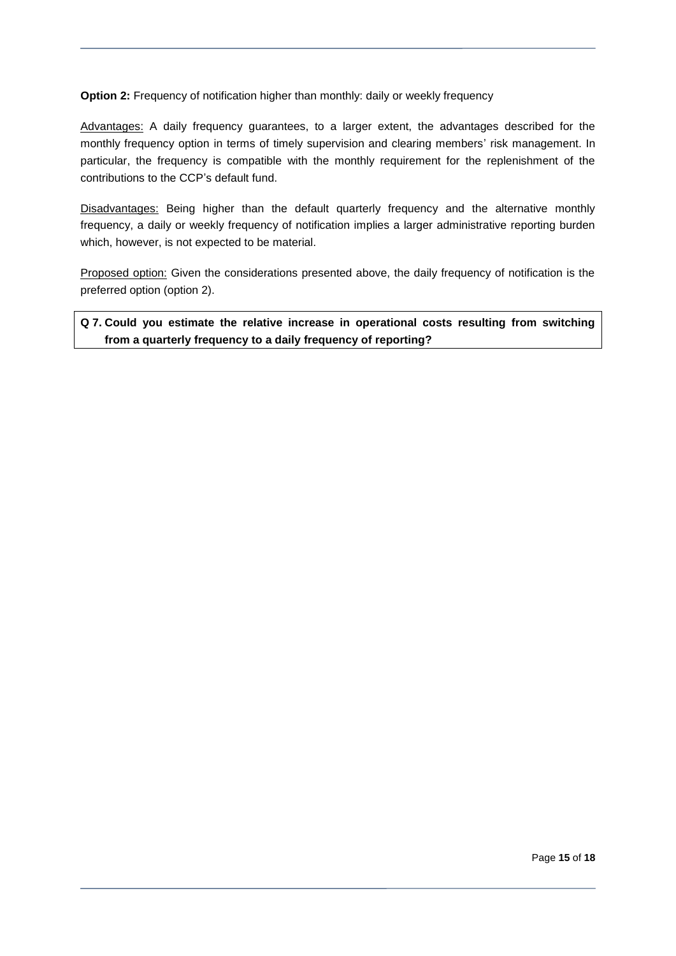**Option 2:** Frequency of notification higher than monthly: daily or weekly frequency

Advantages: A daily frequency guarantees, to a larger extent, the advantages described for the monthly frequency option in terms of timely supervision and clearing members' risk management. In particular, the frequency is compatible with the monthly requirement for the replenishment of the contributions to the CCP's default fund.

Disadvantages: Being higher than the default quarterly frequency and the alternative monthly frequency, a daily or weekly frequency of notification implies a larger administrative reporting burden which, however, is not expected to be material.

Proposed option: Given the considerations presented above, the daily frequency of notification is the preferred option (option 2).

**Q 7. Could you estimate the relative increase in operational costs resulting from switching from a quarterly frequency to a daily frequency of reporting?**